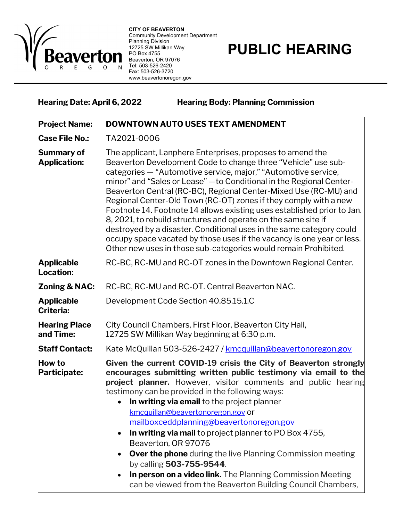

**CITY OF BEAVERTON** Community Development Department Planning Division 12725 SW Millikan Way PO Box 4755 Beaverton, OR 97076 Tel: 503-526-2420 Fax: 503-526-3720 www.beavertonoregon.gov

## **PUBLIC HEARING**

**Hearing Date: April 6, 2022 Hearing Body: Planning Commission**

| <b>Project Name:</b>                     | DOWNTOWN AUTO USES TEXT AMENDMENT                                                                                                                                                                                                                                                                                                                                                                                                                                                                                                                                                                                                                                                                                                                                               |
|------------------------------------------|---------------------------------------------------------------------------------------------------------------------------------------------------------------------------------------------------------------------------------------------------------------------------------------------------------------------------------------------------------------------------------------------------------------------------------------------------------------------------------------------------------------------------------------------------------------------------------------------------------------------------------------------------------------------------------------------------------------------------------------------------------------------------------|
| <b>Case File No.:</b>                    | TA2021-0006                                                                                                                                                                                                                                                                                                                                                                                                                                                                                                                                                                                                                                                                                                                                                                     |
| <b>Summary of</b><br><b>Application:</b> | The applicant, Lanphere Enterprises, proposes to amend the<br>Beaverton Development Code to change three "Vehicle" use sub-<br>categories - "Automotive service, major," "Automotive service,<br>minor" and "Sales or Lease" - to Conditional in the Regional Center-<br>Beaverton Central (RC-BC), Regional Center-Mixed Use (RC-MU) and<br>Regional Center-Old Town (RC-OT) zones if they comply with a new<br>Footnote 14. Footnote 14 allows existing uses established prior to Jan.<br>8, 2021, to rebuild structures and operate on the same site if<br>destroyed by a disaster. Conditional uses in the same category could<br>occupy space vacated by those uses if the vacancy is one year or less.<br>Other new uses in those sub-categories would remain Prohibited. |
| <b>Applicable</b><br>Location:           | RC-BC, RC-MU and RC-OT zones in the Downtown Regional Center.                                                                                                                                                                                                                                                                                                                                                                                                                                                                                                                                                                                                                                                                                                                   |
| Zoning & NAC:                            | RC-BC, RC-MU and RC-OT. Central Beaverton NAC.                                                                                                                                                                                                                                                                                                                                                                                                                                                                                                                                                                                                                                                                                                                                  |
| <b>Applicable</b><br>Criteria:           | Development Code Section 40.85.15.1.C                                                                                                                                                                                                                                                                                                                                                                                                                                                                                                                                                                                                                                                                                                                                           |
| <b>Hearing Place</b><br>and Time:        | City Council Chambers, First Floor, Beaverton City Hall,<br>12725 SW Millikan Way beginning at 6:30 p.m.                                                                                                                                                                                                                                                                                                                                                                                                                                                                                                                                                                                                                                                                        |
| <b>Staff Contact:</b>                    | Kate McQuillan 503-526-2427 / kmcquillan@beavertonoregon.gov                                                                                                                                                                                                                                                                                                                                                                                                                                                                                                                                                                                                                                                                                                                    |
| <b>How to</b><br>Participate:            | Given the current COVID-19 crisis the City of Beaverton strongly<br>encourages submitting written public testimony via email to the<br><b>project planner.</b> However, visitor comments and public hearing<br>testimony can be provided in the following ways:<br>In writing via email to the project planner<br>kmcquillan@beavertonoregon.gov or<br>mailboxceddplanning@beavertonoregon.gov<br>In writing via mail to project planner to PO Box 4755,<br>Beaverton, OR 97076<br>Over the phone during the live Planning Commission meeting<br>by calling 503-755-9544.<br>In person on a video link. The Planning Commission Meeting<br>can be viewed from the Beaverton Building Council Chambers,                                                                          |